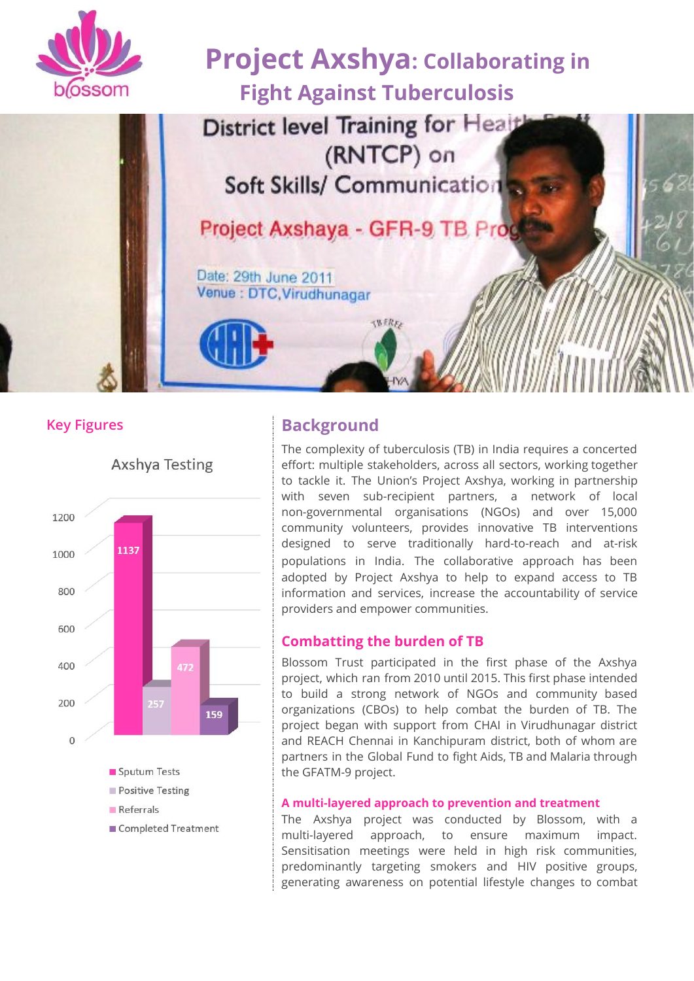

# **Project Axshya: Collaborating in Fight Against Tuberculosis**

District level Training for Healt (RNTCP) on Soft Skills/ Communication

Project Axshaya - GFR-9 TB Prog

**SWERE** 

Date: 29th June 2011 Venue : DTC, Virudhunagar



### **Key Figures Background**

The complexity of tuberculosis (TB) in India requires a concerted effort: multiple stakeholders, across all sectors, working together to tackle it. The Union's Project Axshya, working in partnership with seven sub-recipient partners, a network of local non-governmental organisations (NGOs) and over 15,000 community volunteers, provides innovative TB interventions designed to serve traditionally hard-to-reach and at-risk populations in India. The collaborative approach has been adopted by Project Axshya to help to expand access to TB information and services, increase the accountability of service providers and empower communities.

#### **Combatting the burden of TB**

Blossom Trust participated in the first phase of the Axshya project, which ran from 2010 until 2015. This first phase intended to build a strong network of NGOs and community based organizations (CBOs) to help combat the burden of TB. The project began with support from CHAI in Virudhunagar district and REACH Chennai in Kanchipuram district, both of whom are partners in the Global Fund to fight Aids, TB and Malaria through the GFATM-9 project.

#### **A multi-layered approach to prevention and treatment**

The Axshya project was conducted by Blossom, with a multi-layered approach, to ensure maximum impact. Sensitisation meetings were held in high risk communities, predominantly targeting smokers and HIV positive groups, generating awareness on potential lifestyle changes to combat